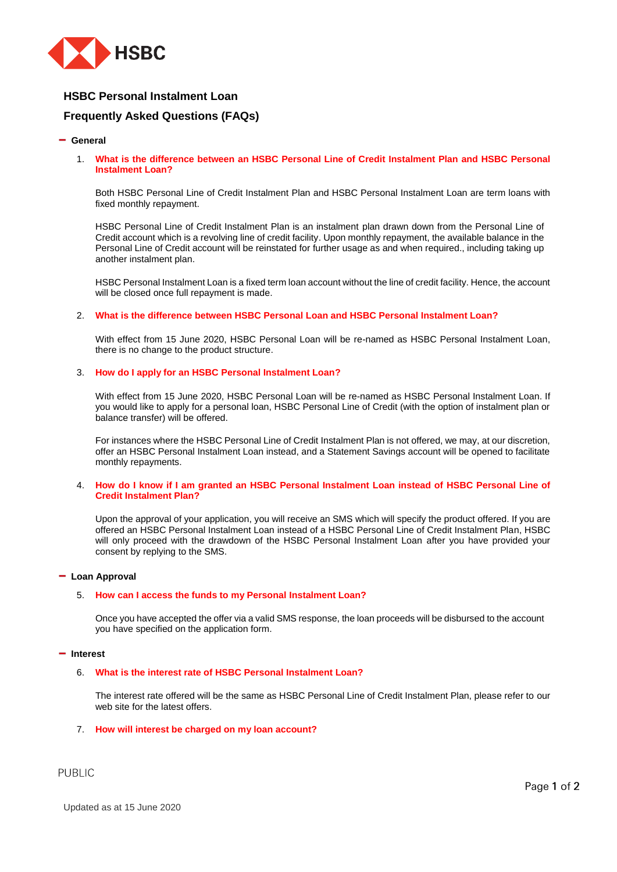

# **HSBC Personal Instalment Loan**

# **Frequently Asked Questions (FAQs)**

#### **General**

1. **What is the difference between an HSBC Personal Line of Credit Instalment Plan and HSBC Personal Instalment Loan?**

Both HSBC Personal Line of Credit Instalment Plan and HSBC Personal Instalment Loan are term loans with fixed monthly repayment.

HSBC Personal Line of Credit Instalment Plan is an instalment plan drawn down from the Personal Line of Credit account which is a revolving line of credit facility. Upon monthly repayment, the available balance in the Personal Line of Credit account will be reinstated for further usage as and when required., including taking up another instalment plan.

HSBC Personal Instalment Loan is a fixed term loan account without the line of credit facility. Hence, the account will be closed once full repayment is made.

#### 2. **What is the difference between HSBC Personal Loan and HSBC Personal Instalment Loan?**

With effect from 15 June 2020, HSBC Personal Loan will be re-named as HSBC Personal Instalment Loan, there is no change to the product structure.

#### 3. **How do I apply for an HSBC Personal Instalment Loan?**

With effect from 15 June 2020, HSBC Personal Loan will be re-named as HSBC Personal Instalment Loan. If you would like to apply for a personal loan, HSBC Personal Line of Credit (with the option of instalment plan or balance transfer) will be offered.

For instances where the HSBC Personal Line of Credit Instalment Plan is not offered, we may, at our discretion, offer an HSBC Personal Instalment Loan instead, and a Statement Savings account will be opened to facilitate monthly repayments.

#### 4. **How do I know if I am granted an HSBC Personal Instalment Loan instead of HSBC Personal Line of Credit Instalment Plan?**

Upon the approval of your application, you will receive an SMS which will specify the product offered. If you are offered an HSBC Personal Instalment Loan instead of a HSBC Personal Line of Credit Instalment Plan, HSBC will only proceed with the drawdown of the HSBC Personal Instalment Loan after you have provided your consent by replying to the SMS.

# **Loan Approval**

#### 5. **How can I access the funds to my Personal Instalment Loan?**

Once you have accepted the offer via a valid SMS response, the loan proceeds will be disbursed to the account you have specified on the application form.

#### **Interest**

# 6. **What is the interest rate of HSBC Personal Instalment Loan?**

The interest rate offered will be the same as HSBC Personal Line of Credit Instalment Plan, please refer to our web site for the latest offers.

# 7. **How will interest be charged on my loan account?**

**PUBLIC**